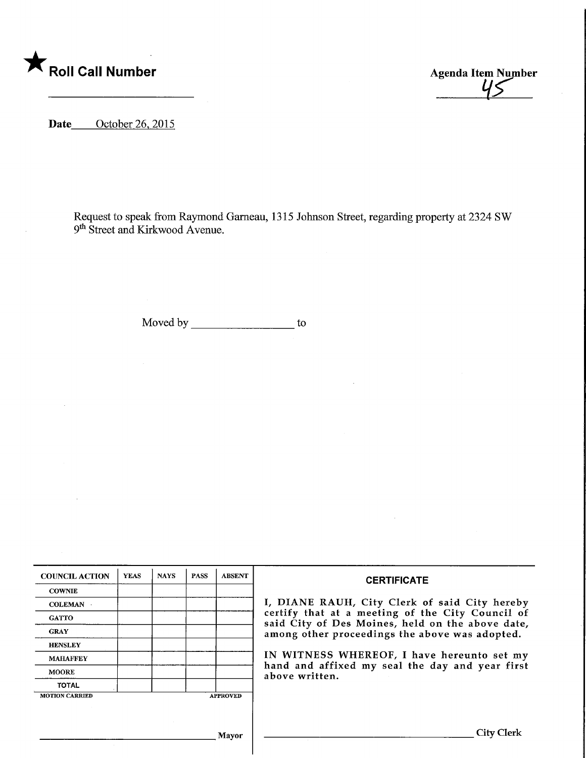

Agenda Item Number

Date October 26, 2015

Request to speak from Raymond Gameau, 1315 Johnson Street, regarding property at 2324 SW 9th Street and Kirkwood Avenue.

Moved by \_\_\_\_\_\_\_\_\_\_\_\_\_\_\_\_\_\_\_\_\_\_\_\_ to

| <b>COUNCIL ACTION</b> | <b>YEAS</b> | <b>NAYS</b> | <b>PASS</b> | <b>ABSENT</b>   | <b>CERTIFICATE</b>                                                                                                                                                                                                                                                                                                         |
|-----------------------|-------------|-------------|-------------|-----------------|----------------------------------------------------------------------------------------------------------------------------------------------------------------------------------------------------------------------------------------------------------------------------------------------------------------------------|
| <b>COWNIE</b>         |             |             |             |                 |                                                                                                                                                                                                                                                                                                                            |
| <b>COLEMAN</b>        |             |             |             |                 | I, DIANE RAUH, City Clerk of said City hereby<br>certify that at a meeting of the City Council of<br>said City of Des Moines, held on the above date,<br>among other proceedings the above was adopted.<br>IN WITNESS WHEREOF, I have hereunto set my<br>hand and affixed my seal the day and year first<br>above written. |
| <b>GATTO</b>          |             |             |             |                 |                                                                                                                                                                                                                                                                                                                            |
| <b>GRAY</b>           |             |             |             |                 |                                                                                                                                                                                                                                                                                                                            |
| <b>HENSLEY</b>        |             |             |             |                 |                                                                                                                                                                                                                                                                                                                            |
| <b>MAHAFFEY</b>       |             |             |             |                 |                                                                                                                                                                                                                                                                                                                            |
| <b>MOORE</b>          |             |             |             |                 |                                                                                                                                                                                                                                                                                                                            |
| <b>TOTAL</b>          |             |             |             |                 |                                                                                                                                                                                                                                                                                                                            |
| <b>MOTION CARRIED</b> |             |             |             | <b>APPROVED</b> |                                                                                                                                                                                                                                                                                                                            |
|                       |             |             |             |                 |                                                                                                                                                                                                                                                                                                                            |
|                       |             |             |             |                 |                                                                                                                                                                                                                                                                                                                            |
| Mayor                 |             |             |             |                 | City                                                                                                                                                                                                                                                                                                                       |